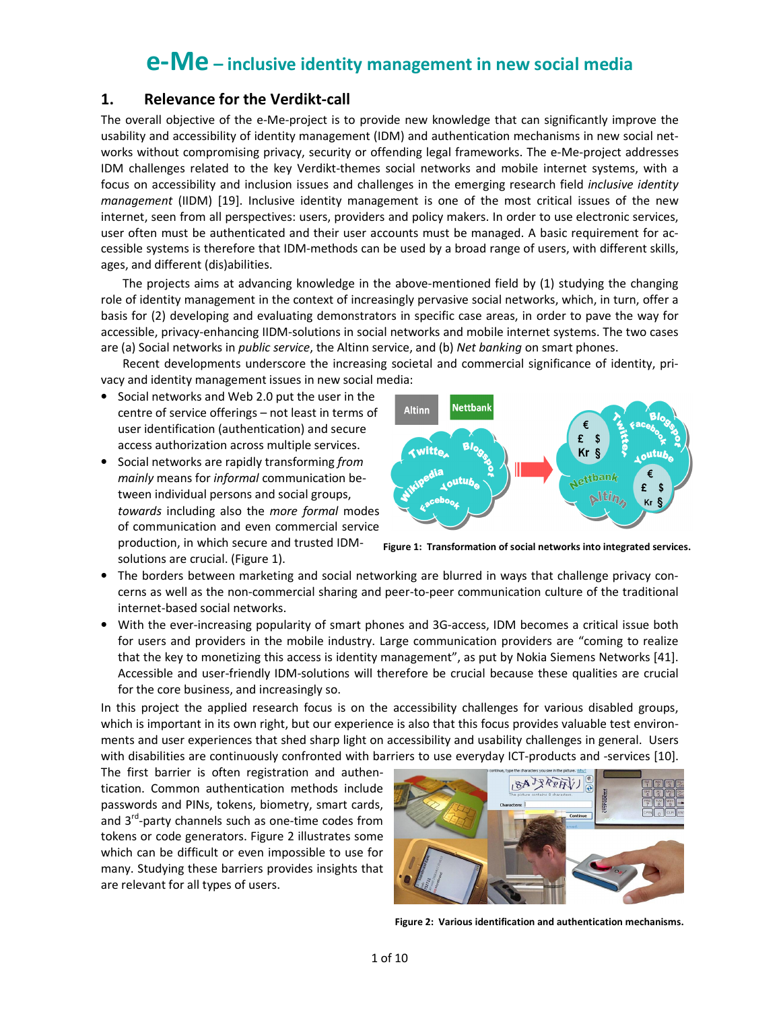# e-Me – inclusive identity management in new social media

# 1. Relevance for the Verdikt-call

The overall objective of the e-Me-project is to provide new knowledge that can significantly improve the usability and accessibility of identity management (IDM) and authentication mechanisms in new social networks without compromising privacy, security or offending legal frameworks. The e-Me-project addresses IDM challenges related to the key Verdikt-themes social networks and mobile internet systems, with a focus on accessibility and inclusion issues and challenges in the emerging research field inclusive identity management (IIDM) [19]. Inclusive identity management is one of the most critical issues of the new internet, seen from all perspectives: users, providers and policy makers. In order to use electronic services, user often must be authenticated and their user accounts must be managed. A basic requirement for accessible systems is therefore that IDM-methods can be used by a broad range of users, with different skills, ages, and different (dis)abilities.

The projects aims at advancing knowledge in the above-mentioned field by (1) studying the changing role of identity management in the context of increasingly pervasive social networks, which, in turn, offer a basis for (2) developing and evaluating demonstrators in specific case areas, in order to pave the way for accessible, privacy-enhancing IIDM-solutions in social networks and mobile internet systems. The two cases are (a) Social networks in *public service*, the Altinn service, and (b) Net banking on smart phones.

Recent developments underscore the increasing societal and commercial significance of identity, privacy and identity management issues in new social media:

- Social networks and Web 2.0 put the user in the centre of service offerings – not least in terms of user identification (authentication) and secure access authorization across multiple services.
- Social networks are rapidly transforming from mainly means for informal communication between individual persons and social groups, towards including also the more formal modes of communication and even commercial service production, in which secure and trusted IDM-

solutions are crucial. (Figure 1).



Figure 1: Transformation of social networks into integrated services.

- The borders between marketing and social networking are blurred in ways that challenge privacy concerns as well as the non-commercial sharing and peer-to-peer communication culture of the traditional internet-based social networks.
- With the ever-increasing popularity of smart phones and 3G-access, IDM becomes a critical issue both for users and providers in the mobile industry. Large communication providers are "coming to realize that the key to monetizing this access is identity management", as put by Nokia Siemens Networks [41]. Accessible and user-friendly IDM-solutions will therefore be crucial because these qualities are crucial for the core business, and increasingly so.

In this project the applied research focus is on the accessibility challenges for various disabled groups, which is important in its own right, but our experience is also that this focus provides valuable test environments and user experiences that shed sharp light on accessibility and usability challenges in general. Users with disabilities are continuously confronted with barriers to use everyday ICT-products and -services [10].

The first barrier is often registration and authentication. Common authentication methods include passwords and PINs, tokens, biometry, smart cards, and 3<sup>rd</sup>-party channels such as one-time codes from tokens or code generators. Figure 2 illustrates some which can be difficult or even impossible to use for many. Studying these barriers provides insights that are relevant for all types of users.



Figure 2: Various identification and authentication mechanisms.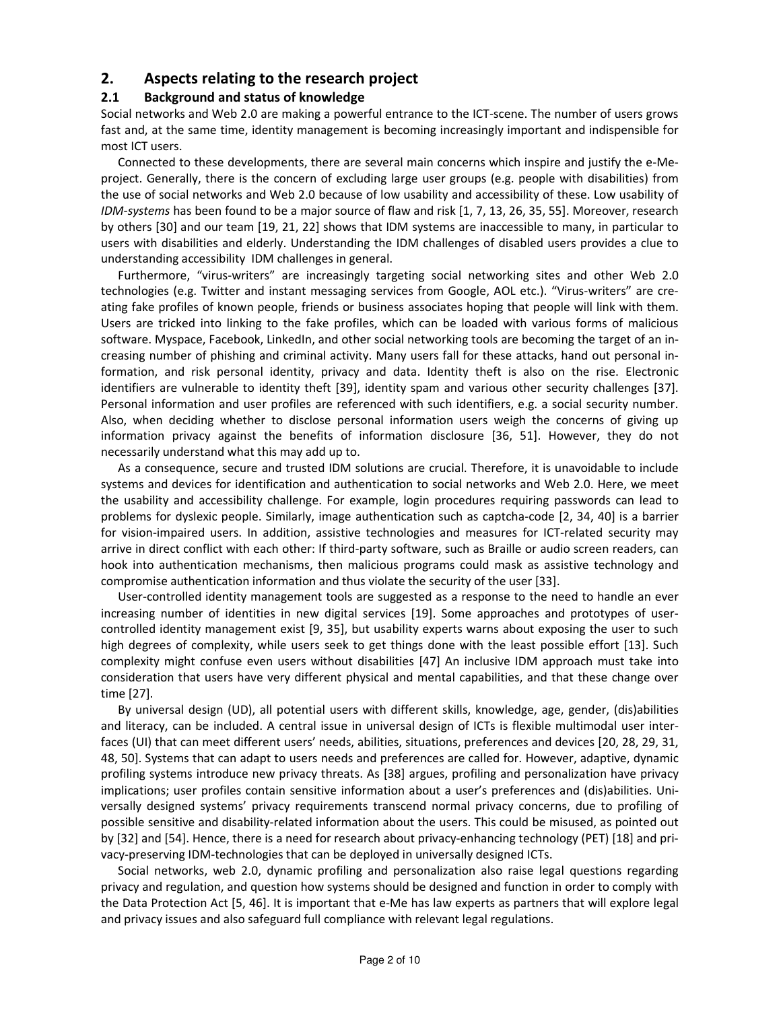# 2. Aspects relating to the research project

## 2.1 Background and status of knowledge

Social networks and Web 2.0 are making a powerful entrance to the ICT-scene. The number of users grows fast and, at the same time, identity management is becoming increasingly important and indispensible for most ICT users.

Connected to these developments, there are several main concerns which inspire and justify the e-Meproject. Generally, there is the concern of excluding large user groups (e.g. people with disabilities) from the use of social networks and Web 2.0 because of low usability and accessibility of these. Low usability of IDM-systems has been found to be a major source of flaw and risk [1, 7, 13, 26, 35, 55]. Moreover, research by others [30] and our team [19, 21, 22] shows that IDM systems are inaccessible to many, in particular to users with disabilities and elderly. Understanding the IDM challenges of disabled users provides a clue to understanding accessibility IDM challenges in general.

Furthermore, "virus-writers" are increasingly targeting social networking sites and other Web 2.0 technologies (e.g. Twitter and instant messaging services from Google, AOL etc.). "Virus-writers" are creating fake profiles of known people, friends or business associates hoping that people will link with them. Users are tricked into linking to the fake profiles, which can be loaded with various forms of malicious software. Myspace, Facebook, LinkedIn, and other social networking tools are becoming the target of an increasing number of phishing and criminal activity. Many users fall for these attacks, hand out personal information, and risk personal identity, privacy and data. Identity theft is also on the rise. Electronic identifiers are vulnerable to identity theft [39], identity spam and various other security challenges [37]. Personal information and user profiles are referenced with such identifiers, e.g. a social security number. Also, when deciding whether to disclose personal information users weigh the concerns of giving up information privacy against the benefits of information disclosure [36, 51]. However, they do not necessarily understand what this may add up to.

As a consequence, secure and trusted IDM solutions are crucial. Therefore, it is unavoidable to include systems and devices for identification and authentication to social networks and Web 2.0. Here, we meet the usability and accessibility challenge. For example, login procedures requiring passwords can lead to problems for dyslexic people. Similarly, image authentication such as captcha-code [2, 34, 40] is a barrier for vision-impaired users. In addition, assistive technologies and measures for ICT-related security may arrive in direct conflict with each other: If third-party software, such as Braille or audio screen readers, can hook into authentication mechanisms, then malicious programs could mask as assistive technology and compromise authentication information and thus violate the security of the user [33].

User-controlled identity management tools are suggested as a response to the need to handle an ever increasing number of identities in new digital services [19]. Some approaches and prototypes of usercontrolled identity management exist [9, 35], but usability experts warns about exposing the user to such high degrees of complexity, while users seek to get things done with the least possible effort [13]. Such complexity might confuse even users without disabilities [47] An inclusive IDM approach must take into consideration that users have very different physical and mental capabilities, and that these change over time [27].

By universal design (UD), all potential users with different skills, knowledge, age, gender, (dis)abilities and literacy, can be included. A central issue in universal design of ICTs is flexible multimodal user interfaces (UI) that can meet different users' needs, abilities, situations, preferences and devices [20, 28, 29, 31, 48, 50]. Systems that can adapt to users needs and preferences are called for. However, adaptive, dynamic profiling systems introduce new privacy threats. As [38] argues, profiling and personalization have privacy implications; user profiles contain sensitive information about a user's preferences and (dis)abilities. Universally designed systems' privacy requirements transcend normal privacy concerns, due to profiling of possible sensitive and disability-related information about the users. This could be misused, as pointed out by [32] and [54]. Hence, there is a need for research about privacy-enhancing technology (PET) [18] and privacy-preserving IDM-technologies that can be deployed in universally designed ICTs.

Social networks, web 2.0, dynamic profiling and personalization also raise legal questions regarding privacy and regulation, and question how systems should be designed and function in order to comply with the Data Protection Act [5, 46]. It is important that e-Me has law experts as partners that will explore legal and privacy issues and also safeguard full compliance with relevant legal regulations.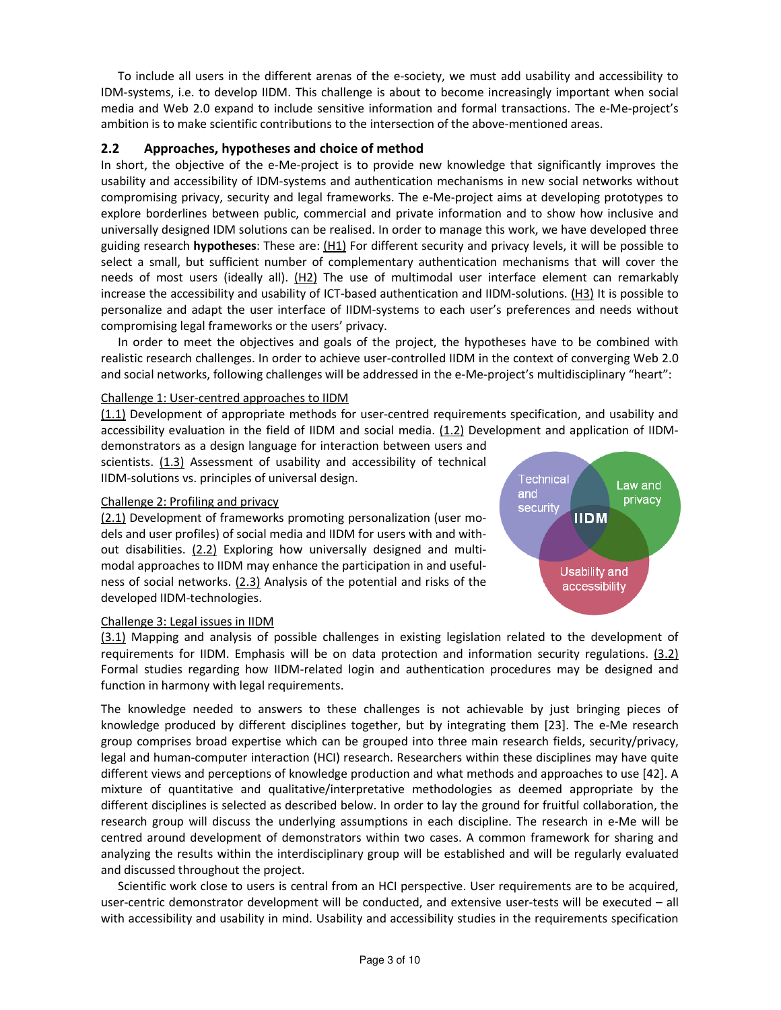To include all users in the different arenas of the e-society, we must add usability and accessibility to IDM-systems, i.e. to develop IIDM. This challenge is about to become increasingly important when social media and Web 2.0 expand to include sensitive information and formal transactions. The e-Me-project's ambition is to make scientific contributions to the intersection of the above-mentioned areas.

## 2.2 Approaches, hypotheses and choice of method

In short, the objective of the e-Me-project is to provide new knowledge that significantly improves the usability and accessibility of IDM-systems and authentication mechanisms in new social networks without compromising privacy, security and legal frameworks. The e-Me-project aims at developing prototypes to explore borderlines between public, commercial and private information and to show how inclusive and universally designed IDM solutions can be realised. In order to manage this work, we have developed three guiding research hypotheses: These are: (H1) For different security and privacy levels, it will be possible to select a small, but sufficient number of complementary authentication mechanisms that will cover the needs of most users (ideally all).  $(H2)$  The use of multimodal user interface element can remarkably increase the accessibility and usability of ICT-based authentication and IIDM-solutions. (H3) It is possible to personalize and adapt the user interface of IIDM-systems to each user's preferences and needs without compromising legal frameworks or the users' privacy.

In order to meet the objectives and goals of the project, the hypotheses have to be combined with realistic research challenges. In order to achieve user-controlled IIDM in the context of converging Web 2.0 and social networks, following challenges will be addressed in the e-Me-project's multidisciplinary "heart":

#### Challenge 1: User-centred approaches to IIDM

(1.1) Development of appropriate methods for user-centred requirements specification, and usability and accessibility evaluation in the field of IIDM and social media. (1.2) Development and application of IIDM-

demonstrators as a design language for interaction between users and scientists. (1.3) Assessment of usability and accessibility of technical IIDM-solutions vs. principles of universal design.

#### Challenge 2: Profiling and privacy

(2.1) Development of frameworks promoting personalization (user models and user profiles) of social media and IIDM for users with and without disabilities. (2.2) Exploring how universally designed and multimodal approaches to IIDM may enhance the participation in and usefulness of social networks. (2.3) Analysis of the potential and risks of the developed IIDM-technologies.



#### Challenge 3: Legal issues in IIDM

(3.1) Mapping and analysis of possible challenges in existing legislation related to the development of requirements for IIDM. Emphasis will be on data protection and information security regulations. (3.2) Formal studies regarding how IIDM-related login and authentication procedures may be designed and function in harmony with legal requirements.

The knowledge needed to answers to these challenges is not achievable by just bringing pieces of knowledge produced by different disciplines together, but by integrating them [23]. The e-Me research group comprises broad expertise which can be grouped into three main research fields, security/privacy, legal and human-computer interaction (HCI) research. Researchers within these disciplines may have quite different views and perceptions of knowledge production and what methods and approaches to use [42]. A mixture of quantitative and qualitative/interpretative methodologies as deemed appropriate by the different disciplines is selected as described below. In order to lay the ground for fruitful collaboration, the research group will discuss the underlying assumptions in each discipline. The research in e-Me will be centred around development of demonstrators within two cases. A common framework for sharing and analyzing the results within the interdisciplinary group will be established and will be regularly evaluated and discussed throughout the project.

Scientific work close to users is central from an HCI perspective. User requirements are to be acquired, user-centric demonstrator development will be conducted, and extensive user-tests will be executed – all with accessibility and usability in mind. Usability and accessibility studies in the requirements specification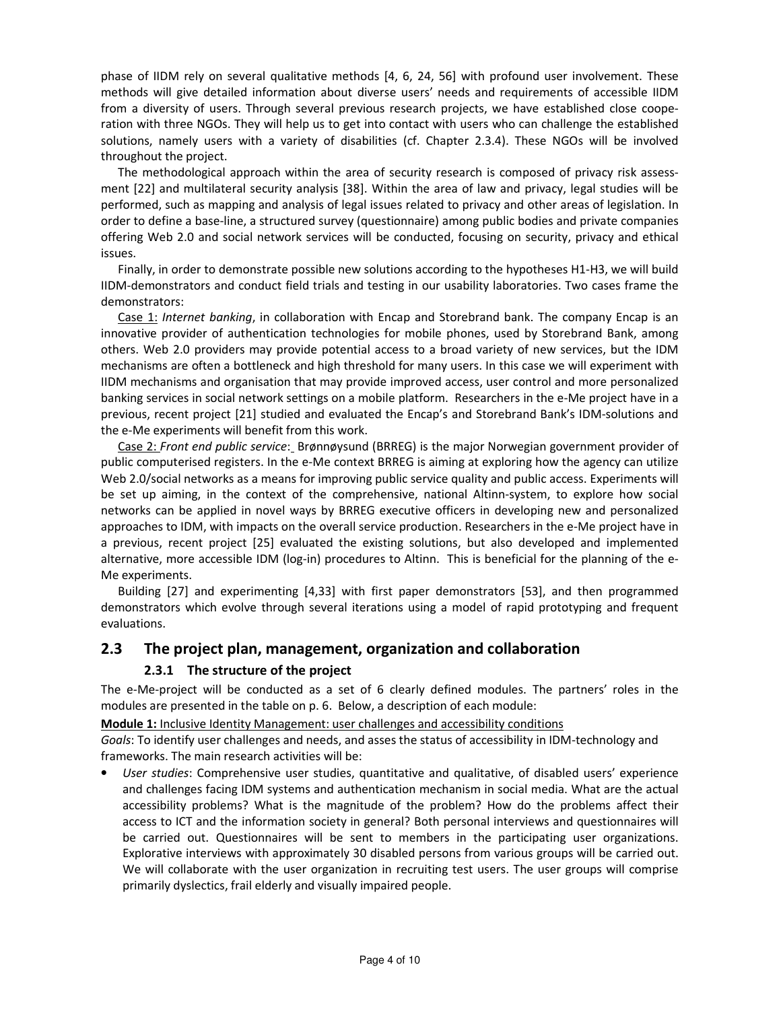phase of IIDM rely on several qualitative methods [4, 6, 24, 56] with profound user involvement. These methods will give detailed information about diverse users' needs and requirements of accessible IIDM from a diversity of users. Through several previous research projects, we have established close cooperation with three NGOs. They will help us to get into contact with users who can challenge the established solutions, namely users with a variety of disabilities (cf. Chapter 2.3.4). These NGOs will be involved throughout the project.

The methodological approach within the area of security research is composed of privacy risk assessment [22] and multilateral security analysis [38]. Within the area of law and privacy, legal studies will be performed, such as mapping and analysis of legal issues related to privacy and other areas of legislation. In order to define a base-line, a structured survey (questionnaire) among public bodies and private companies offering Web 2.0 and social network services will be conducted, focusing on security, privacy and ethical issues.

Finally, in order to demonstrate possible new solutions according to the hypotheses H1-H3, we will build IIDM-demonstrators and conduct field trials and testing in our usability laboratories. Two cases frame the demonstrators:

Case 1: Internet banking, in collaboration with Encap and Storebrand bank. The company Encap is an innovative provider of authentication technologies for mobile phones, used by Storebrand Bank, among others. Web 2.0 providers may provide potential access to a broad variety of new services, but the IDM mechanisms are often a bottleneck and high threshold for many users. In this case we will experiment with IIDM mechanisms and organisation that may provide improved access, user control and more personalized banking services in social network settings on a mobile platform. Researchers in the e-Me project have in a previous, recent project [21] studied and evaluated the Encap's and Storebrand Bank's IDM-solutions and the e-Me experiments will benefit from this work.

Case 2: Front end public service: Brønnøysund (BRREG) is the major Norwegian government provider of public computerised registers. In the e-Me context BRREG is aiming at exploring how the agency can utilize Web 2.0/social networks as a means for improving public service quality and public access. Experiments will be set up aiming, in the context of the comprehensive, national Altinn-system, to explore how social networks can be applied in novel ways by BRREG executive officers in developing new and personalized approaches to IDM, with impacts on the overall service production. Researchers in the e-Me project have in a previous, recent project [25] evaluated the existing solutions, but also developed and implemented alternative, more accessible IDM (log-in) procedures to Altinn. This is beneficial for the planning of the e-Me experiments.

Building [27] and experimenting [4,33] with first paper demonstrators [53], and then programmed demonstrators which evolve through several iterations using a model of rapid prototyping and frequent evaluations.

# 2.3 The project plan, management, organization and collaboration

#### 2.3.1 The structure of the project

The e-Me-project will be conducted as a set of 6 clearly defined modules. The partners' roles in the modules are presented in the table on p. 6. Below, a description of each module:

Module 1: Inclusive Identity Management: user challenges and accessibility conditions

Goals: To identify user challenges and needs, and asses the status of accessibility in IDM-technology and frameworks. The main research activities will be:

User studies: Comprehensive user studies, quantitative and qualitative, of disabled users' experience and challenges facing IDM systems and authentication mechanism in social media. What are the actual accessibility problems? What is the magnitude of the problem? How do the problems affect their access to ICT and the information society in general? Both personal interviews and questionnaires will be carried out. Questionnaires will be sent to members in the participating user organizations. Explorative interviews with approximately 30 disabled persons from various groups will be carried out. We will collaborate with the user organization in recruiting test users. The user groups will comprise primarily dyslectics, frail elderly and visually impaired people.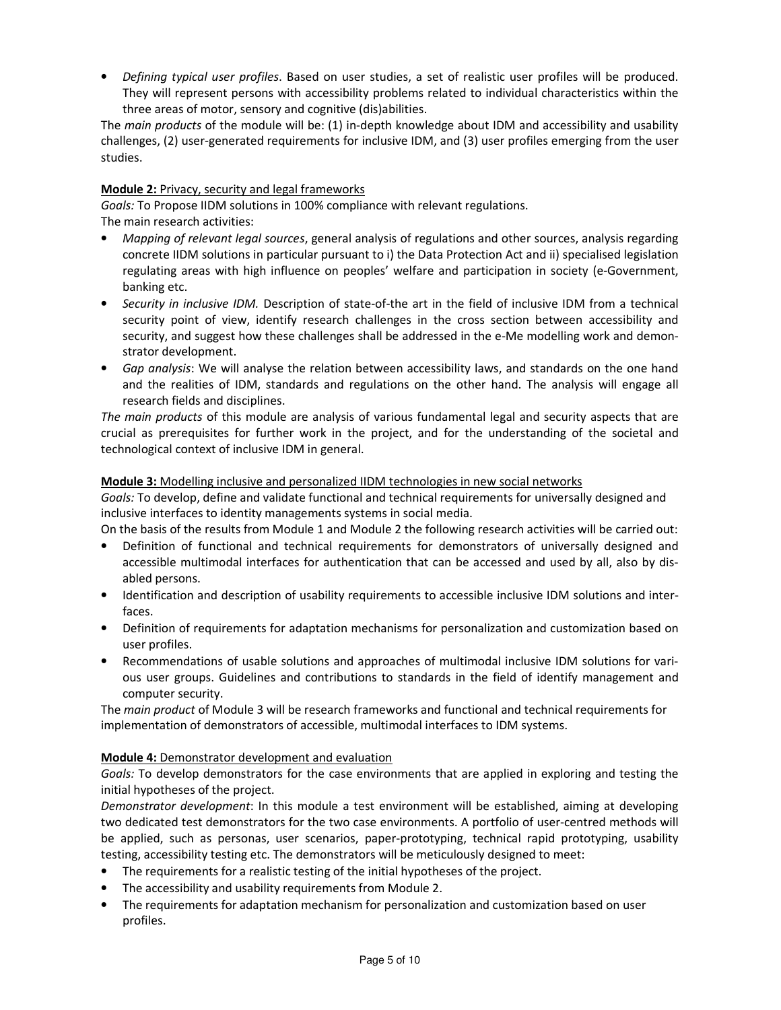• Defining typical user profiles. Based on user studies, a set of realistic user profiles will be produced. They will represent persons with accessibility problems related to individual characteristics within the three areas of motor, sensory and cognitive (dis)abilities.

The main products of the module will be: (1) in-depth knowledge about IDM and accessibility and usability challenges, (2) user-generated requirements for inclusive IDM, and (3) user profiles emerging from the user studies.

## Module 2: Privacy, security and legal frameworks

Goals: To Propose IIDM solutions in 100% compliance with relevant regulations.

The main research activities:

- Mapping of relevant legal sources, general analysis of regulations and other sources, analysis regarding concrete IIDM solutions in particular pursuant to i) the Data Protection Act and ii) specialised legislation regulating areas with high influence on peoples' welfare and participation in society (e-Government, banking etc.
- Security in inclusive IDM. Description of state-of-the art in the field of inclusive IDM from a technical security point of view, identify research challenges in the cross section between accessibility and security, and suggest how these challenges shall be addressed in the e-Me modelling work and demonstrator development.
- Gap analysis: We will analyse the relation between accessibility laws, and standards on the one hand and the realities of IDM, standards and regulations on the other hand. The analysis will engage all research fields and disciplines.

The main products of this module are analysis of various fundamental legal and security aspects that are crucial as prerequisites for further work in the project, and for the understanding of the societal and technological context of inclusive IDM in general.

#### Module 3: Modelling inclusive and personalized IIDM technologies in new social networks

Goals: To develop, define and validate functional and technical requirements for universally designed and inclusive interfaces to identity managements systems in social media.

On the basis of the results from Module 1 and Module 2 the following research activities will be carried out:

- Definition of functional and technical requirements for demonstrators of universally designed and accessible multimodal interfaces for authentication that can be accessed and used by all, also by disabled persons.
- Identification and description of usability requirements to accessible inclusive IDM solutions and interfaces.
- Definition of requirements for adaptation mechanisms for personalization and customization based on user profiles.
- Recommendations of usable solutions and approaches of multimodal inclusive IDM solutions for various user groups. Guidelines and contributions to standards in the field of identify management and computer security.

The main product of Module 3 will be research frameworks and functional and technical requirements for implementation of demonstrators of accessible, multimodal interfaces to IDM systems.

#### Module 4: Demonstrator development and evaluation

Goals: To develop demonstrators for the case environments that are applied in exploring and testing the initial hypotheses of the project.

Demonstrator development: In this module a test environment will be established, aiming at developing two dedicated test demonstrators for the two case environments. A portfolio of user-centred methods will be applied, such as personas, user scenarios, paper-prototyping, technical rapid prototyping, usability testing, accessibility testing etc. The demonstrators will be meticulously designed to meet:

- The requirements for a realistic testing of the initial hypotheses of the project.
- The accessibility and usability requirements from Module 2.
- The requirements for adaptation mechanism for personalization and customization based on user profiles.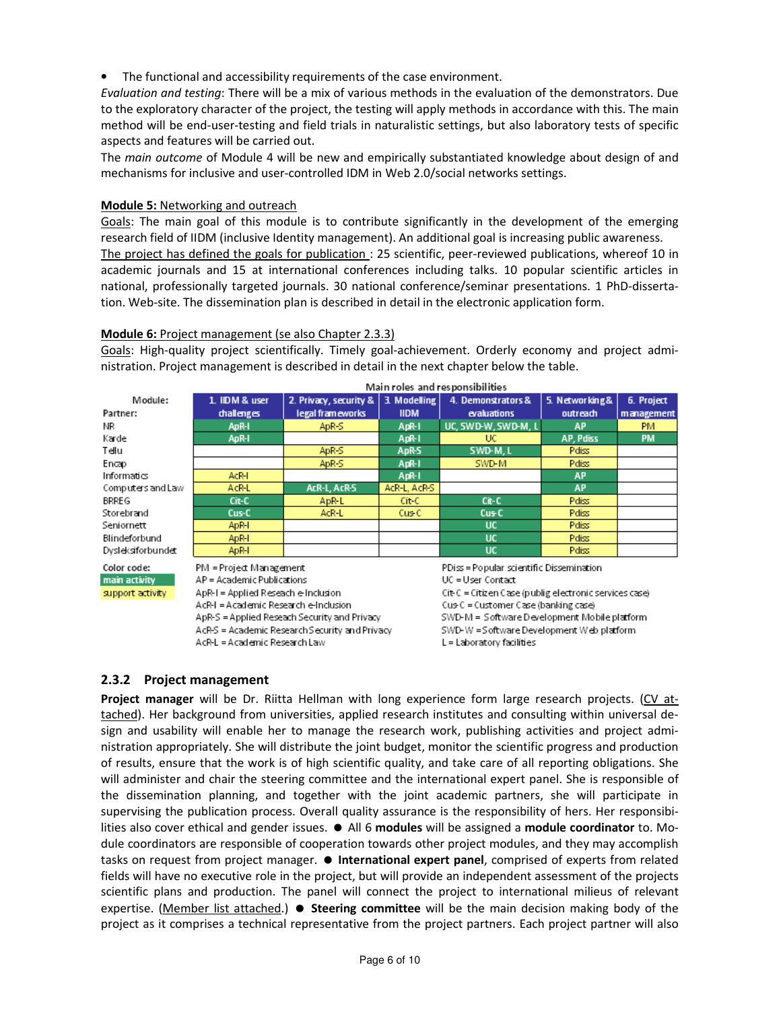• The functional and accessibility requirements of the case environment.

Evaluation and testing: There will be a mix of various methods in the evaluation of the demonstrators. Due to the exploratory character of the project, the testing will apply methods in accordance with this. The main method will be end-user-testing and field trials in naturalistic settings, but also laboratory tests of specific aspects and features will be carried out.

The main outcome of Module 4 will be new and empirically substantiated knowledge about design of and mechanisms for inclusive and user-controlled IDM in Web 2.0/social networks settings.

#### Module 5: Networking and outreach

Goals: The main goal of this module is to contribute significantly in the development of the emerging research field of IIDM (inclusive Identity management). An additional goal is increasing public awareness. The project has defined the goals for publication : 25 scientific, peer-reviewed publications, whereof 10 in academic journals and 15 at international conferences including talks. 10 popular scientific articles in national, professionally targeted journals. 30 national conference/seminar presentations. 1 PhD-dissertation. Web-site. The dissemination plan is described in detail in the electronic application form.

#### Module 6: Project management (se also Chapter 2.3.3)

Goals: High-quality project scientifically. Timely goal-achievement. Orderly economy and project administration. Project management is described in detail in the next chapter below the table.

|                   | ivialiti roles and responsibilities. |                        |              |                     |                |            |
|-------------------|--------------------------------------|------------------------|--------------|---------------------|----------------|------------|
| Module:           | 1. IDM & user                        | 2. Privacy, security & | 3. Modelling | 4. Demonstrators &  | 5. Networking& | 6. Project |
| Partner:          | challenges                           | legal frameworks       | <b>IIDM</b>  | evaluations         | outreach       | management |
| ΝR                | ApR-I                                | ApR-S                  | ApR-1        | UC. SWD-W. SWD-M. L | <b>AP</b>      | PM.        |
| Karde             | ApR-I                                |                        | ApR-1        | UC.                 | AP, Pdiss      | <b>PM</b>  |
| Tellu             |                                      | ApR-S                  | ApR-S        | SWD-M, L            | Pdiss          |            |
| Encap             |                                      | ApR-S                  | ApR-1        | SWD-M               | <b>Pdiss</b>   |            |
| Informatics       | AcR-I                                |                        | ApR-1        |                     | <b>AP</b>      |            |
| Computers and Law | AcR-L                                | AcR-L, AcR-S           | AcR-L, AcR-S |                     | <b>AP</b>      |            |
| <b>BRREG</b>      | Cit-C                                | ApR-L                  | Cit-C        | Cit-C               | <b>Pdiss</b>   |            |
| Storebrand        | Cus-C                                | AcR-L                  | Cus C        | Cus C               | Pdiss          |            |
| Seniornett        | ApR-I                                |                        |              | UC.                 | Pdiss          |            |
| Blindeforbund     | ApR-I                                |                        |              | UC.                 | Pdiss          |            |
| Dysleksiforbundet | ApR-I                                |                        |              | <b>UC</b>           | Pdiss          |            |
| .<br>---          |                                      |                        |              |                     |                |            |

## Main roles and responsibilities

Color code: main activity support activity

PM = Project Management AP = Academic Publications ApR-1 = Applied Reseach e-Inclusion AcR-I = Academic Research e-Inclusion ApR-S = Applied Reseach Security and Privacy AcR-S = Academic Research Security and Privacy

AcR-L = Academic Research Law

PDiss = Popular scientific Dissemination UC = User Contact

Cit-C = Citizen Case (publig electronic services case) Cus-C = Customer Case (banking case) SWD-M = Software Development Mobile platform SWD-W = Software Development Web platform L = Laboratory facilities

## 2.3.2 Project management

Project manager will be Dr. Riitta Hellman with long experience form large research projects. (CV attached). Her background from universities, applied research institutes and consulting within universal design and usability will enable her to manage the research work, publishing activities and project administration appropriately. She will distribute the joint budget, monitor the scientific progress and production of results, ensure that the work is of high scientific quality, and take care of all reporting obligations. She will administer and chair the steering committee and the international expert panel. She is responsible of the dissemination planning, and together with the joint academic partners, she will participate in supervising the publication process. Overall quality assurance is the responsibility of hers. Her responsibilities also cover ethical and gender issues.  $\bullet$  All 6 modules will be assigned a module coordinator to. Module coordinators are responsible of cooperation towards other project modules, and they may accomplish tasks on request from project manager.  $\bullet$  International expert panel, comprised of experts from related fields will have no executive role in the project, but will provide an independent assessment of the projects scientific plans and production. The panel will connect the project to international milieus of relevant expertise. (Member list attached.)  $\bullet$  Steering committee will be the main decision making body of the project as it comprises a technical representative from the project partners. Each project partner will also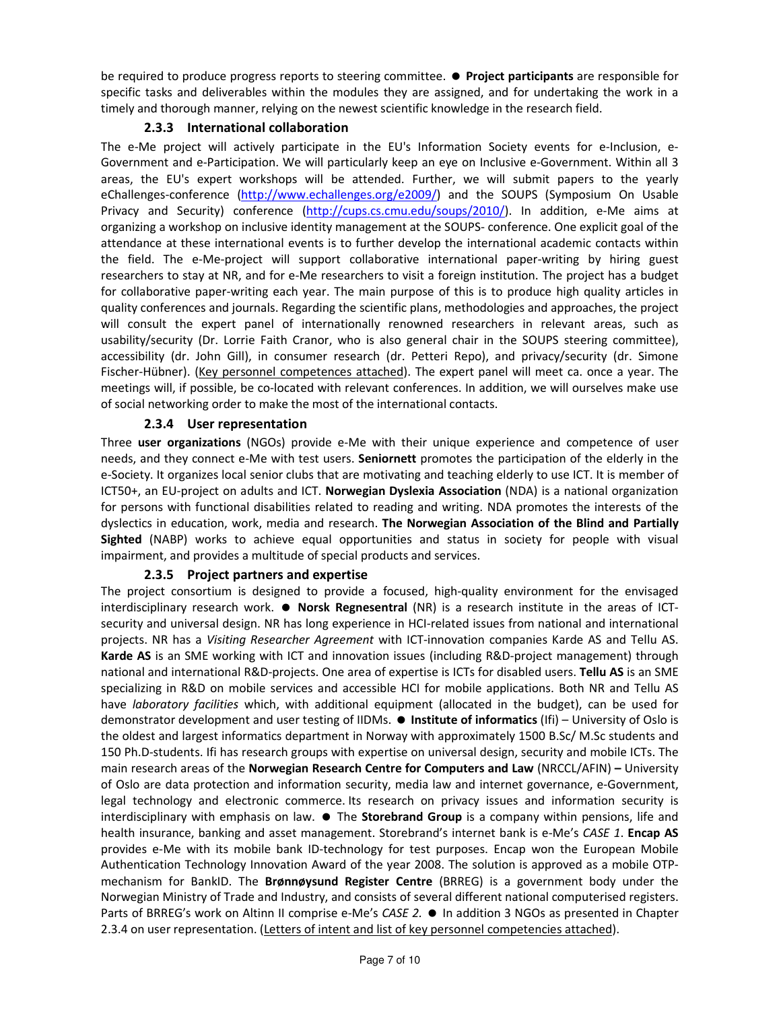be required to produce progress reports to steering committee.  $\bullet$  Project participants are responsible for specific tasks and deliverables within the modules they are assigned, and for undertaking the work in a timely and thorough manner, relying on the newest scientific knowledge in the research field.

## 2.3.3 International collaboration

The e-Me project will actively participate in the EU's Information Society events for e-Inclusion, e-Government and e-Participation. We will particularly keep an eye on Inclusive e-Government. Within all 3 areas, the EU's expert workshops will be attended. Further, we will submit papers to the yearly eChallenges-conference (http://www.echallenges.org/e2009/) and the SOUPS (Symposium On Usable Privacy and Security) conference (http://cups.cs.cmu.edu/soups/2010/). In addition, e-Me aims at organizing a workshop on inclusive identity management at the SOUPS- conference. One explicit goal of the attendance at these international events is to further develop the international academic contacts within the field. The e-Me-project will support collaborative international paper-writing by hiring guest researchers to stay at NR, and for e-Me researchers to visit a foreign institution. The project has a budget for collaborative paper-writing each year. The main purpose of this is to produce high quality articles in quality conferences and journals. Regarding the scientific plans, methodologies and approaches, the project will consult the expert panel of internationally renowned researchers in relevant areas, such as usability/security (Dr. Lorrie Faith Cranor, who is also general chair in the SOUPS steering committee), accessibility (dr. John Gill), in consumer research (dr. Petteri Repo), and privacy/security (dr. Simone Fischer-Hübner). (Key personnel competences attached). The expert panel will meet ca. once a year. The meetings will, if possible, be co-located with relevant conferences. In addition, we will ourselves make use of social networking order to make the most of the international contacts.

## 2.3.4 User representation

Three user organizations (NGOs) provide e-Me with their unique experience and competence of user needs, and they connect e-Me with test users. Seniornett promotes the participation of the elderly in the e-Society. It organizes local senior clubs that are motivating and teaching elderly to use ICT. It is member of ICT50+, an EU-project on adults and ICT. Norwegian Dyslexia Association (NDA) is a national organization for persons with functional disabilities related to reading and writing. NDA promotes the interests of the dyslectics in education, work, media and research. The Norwegian Association of the Blind and Partially Sighted (NABP) works to achieve equal opportunities and status in society for people with visual impairment, and provides a multitude of special products and services.

## 2.3.5 Project partners and expertise

The project consortium is designed to provide a focused, high-quality environment for the envisaged interdisciplinary research work.  $\bullet$  Norsk Regnesentral (NR) is a research institute in the areas of ICTsecurity and universal design. NR has long experience in HCI-related issues from national and international projects. NR has a Visiting Researcher Agreement with ICT-innovation companies Karde AS and Tellu AS. Karde AS is an SME working with ICT and innovation issues (including R&D-project management) through national and international R&D-projects. One area of expertise is ICTs for disabled users. Tellu AS is an SME specializing in R&D on mobile services and accessible HCI for mobile applications. Both NR and Tellu AS have *laboratory facilities* which, with additional equipment (allocated in the budget), can be used for demonstrator development and user testing of IIDMs.  $\bullet$  Institute of informatics (Ifi) – University of Oslo is the oldest and largest informatics department in Norway with approximately 1500 B.Sc/ M.Sc students and 150 Ph.D-students. Ifi has research groups with expertise on universal design, security and mobile ICTs. The main research areas of the Norwegian Research Centre for Computers and Law (NRCCL/AFIN) – University of Oslo are data protection and information security, media law and internet governance, e-Government, legal technology and electronic commerce. Its research on privacy issues and information security is interdisciplinary with emphasis on law.  $\bullet$  The Storebrand Group is a company within pensions, life and health insurance, banking and asset management. Storebrand's internet bank is e-Me's CASE 1. Encap AS provides e-Me with its mobile bank ID-technology for test purposes. Encap won the European Mobile Authentication Technology Innovation Award of the year 2008. The solution is approved as a mobile OTPmechanism for BankID. The **Brønnøysund Register Centre** (BRREG) is a government body under the Norwegian Ministry of Trade and Industry, and consists of several different national computerised registers. Parts of BRREG's work on Altinn II comprise e-Me's CASE 2. • In addition 3 NGOs as presented in Chapter 2.3.4 on user representation. (Letters of intent and list of key personnel competencies attached).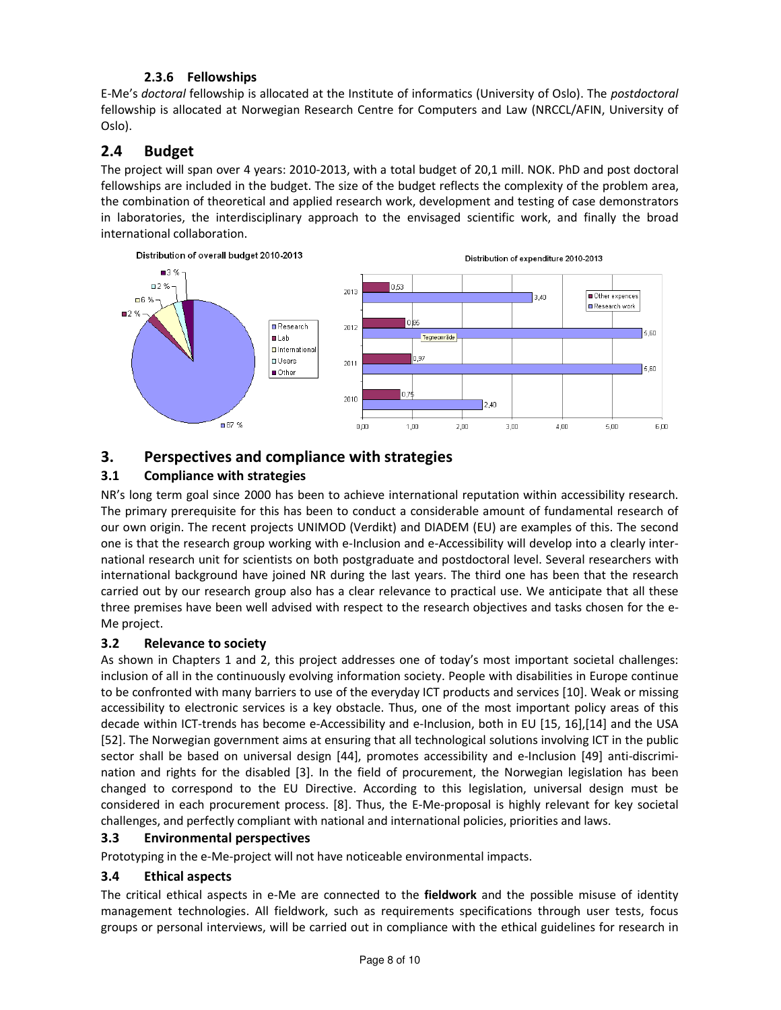# 2.3.6 Fellowships

E-Me's doctoral fellowship is allocated at the Institute of informatics (University of Oslo). The postdoctoral fellowship is allocated at Norwegian Research Centre for Computers and Law (NRCCL/AFIN, University of Oslo).

# 2.4 Budget

The project will span over 4 years: 2010-2013, with a total budget of 20,1 mill. NOK. PhD and post doctoral fellowships are included in the budget. The size of the budget reflects the complexity of the problem area, the combination of theoretical and applied research work, development and testing of case demonstrators in laboratories, the interdisciplinary approach to the envisaged scientific work, and finally the broad international collaboration.



# 3. Perspectives and compliance with strategies

# 3.1 Compliance with strategies

NR's long term goal since 2000 has been to achieve international reputation within accessibility research. The primary prerequisite for this has been to conduct a considerable amount of fundamental research of our own origin. The recent projects UNIMOD (Verdikt) and DIADEM (EU) are examples of this. The second one is that the research group working with e-Inclusion and e-Accessibility will develop into a clearly international research unit for scientists on both postgraduate and postdoctoral level. Several researchers with international background have joined NR during the last years. The third one has been that the research carried out by our research group also has a clear relevance to practical use. We anticipate that all these three premises have been well advised with respect to the research objectives and tasks chosen for the e-Me project.

# 3.2 Relevance to society

As shown in Chapters 1 and 2, this project addresses one of today's most important societal challenges: inclusion of all in the continuously evolving information society. People with disabilities in Europe continue to be confronted with many barriers to use of the everyday ICT products and services [10]. Weak or missing accessibility to electronic services is a key obstacle. Thus, one of the most important policy areas of this decade within ICT-trends has become e-Accessibility and e-Inclusion, both in EU [15, 16],[14] and the USA [52]. The Norwegian government aims at ensuring that all technological solutions involving ICT in the public sector shall be based on universal design [44], promotes accessibility and e-Inclusion [49] anti-discrimination and rights for the disabled [3]. In the field of procurement, the Norwegian legislation has been changed to correspond to the EU Directive. According to this legislation, universal design must be considered in each procurement process. [8]. Thus, the E-Me-proposal is highly relevant for key societal challenges, and perfectly compliant with national and international policies, priorities and laws.

## 3.3 Environmental perspectives

Prototyping in the e-Me-project will not have noticeable environmental impacts.

# 3.4 Ethical aspects

The critical ethical aspects in e-Me are connected to the **fieldwork** and the possible misuse of identity management technologies. All fieldwork, such as requirements specifications through user tests, focus groups or personal interviews, will be carried out in compliance with the ethical guidelines for research in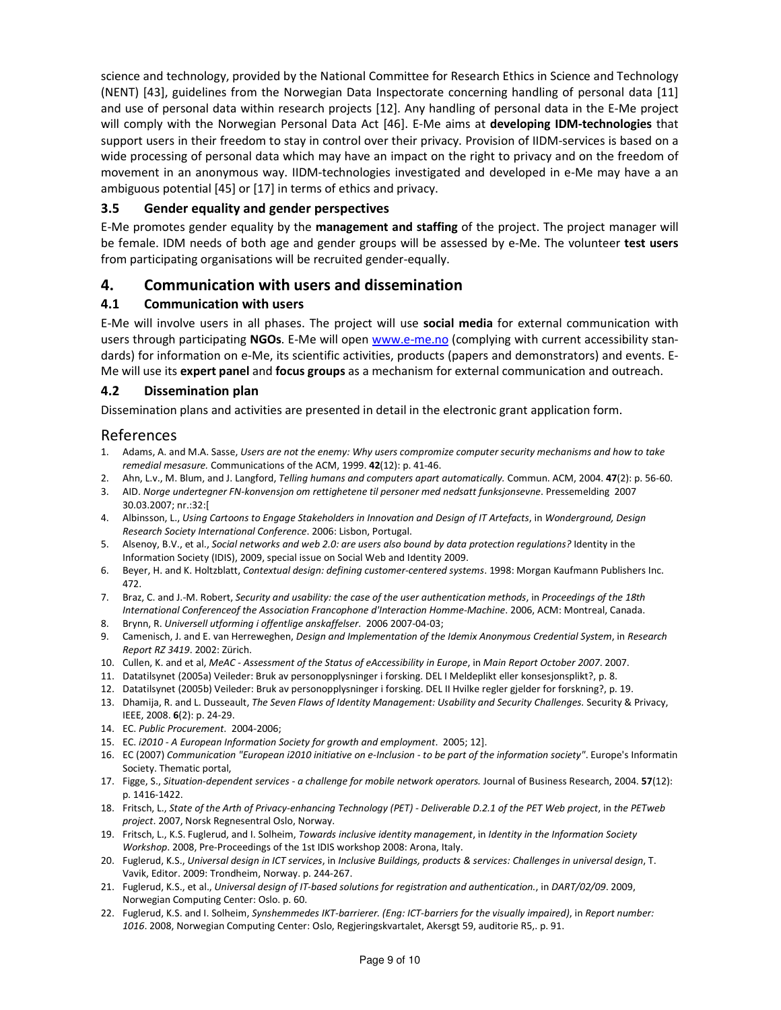science and technology, provided by the National Committee for Research Ethics in Science and Technology (NENT) [43], guidelines from the Norwegian Data Inspectorate concerning handling of personal data [11] and use of personal data within research projects [12]. Any handling of personal data in the E-Me project will comply with the Norwegian Personal Data Act [46]. E-Me aims at developing IDM-technologies that support users in their freedom to stay in control over their privacy. Provision of IIDM-services is based on a wide processing of personal data which may have an impact on the right to privacy and on the freedom of movement in an anonymous way. IIDM-technologies investigated and developed in e-Me may have a an ambiguous potential [45] or [17] in terms of ethics and privacy.

## 3.5 Gender equality and gender perspectives

E-Me promotes gender equality by the management and staffing of the project. The project manager will be female. IDM needs of both age and gender groups will be assessed by e-Me. The volunteer test users from participating organisations will be recruited gender-equally.

## 4. Communication with users and dissemination

#### 4.1 Communication with users

E-Me will involve users in all phases. The project will use social media for external communication with users through participating NGOs. E-Me will open www.e-me.no (complying with current accessibility standards) for information on e-Me, its scientific activities, products (papers and demonstrators) and events. E-Me will use its expert panel and focus groups as a mechanism for external communication and outreach.

#### 4.2 Dissemination plan

Dissemination plans and activities are presented in detail in the electronic grant application form.

## References

- 1. Adams, A. and M.A. Sasse, Users are not the enemy: Why users compromize computer security mechanisms and how to take remedial mesasure. Communications of the ACM, 1999. 42(12): p. 41-46.
- 2. Ahn, L.v., M. Blum, and J. Langford, Telling humans and computers apart automatically. Commun. ACM, 2004. 47(2): p. 56-60.
- 3. AID. Norge undertegner FN-konvensjon om rettighetene til personer med nedsatt funksjonsevne. Pressemelding 2007 30.03.2007; nr.:32:[
- 4. Albinsson, L., Using Cartoons to Engage Stakeholders in Innovation and Design of IT Artefacts, in Wonderground, Design Research Society International Conference. 2006: Lisbon, Portugal.
- 5. Alsenoy, B.V., et al., Social networks and web 2.0: are users also bound by data protection regulations? Identity in the Information Society (IDIS), 2009, special issue on Social Web and Identity 2009.
- 6. Beyer, H. and K. Holtzblatt, Contextual design: defining customer-centered systems. 1998: Morgan Kaufmann Publishers Inc. 472.
- 7. Braz, C. and J.-M. Robert, Security and usability: the case of the user authentication methods, in Proceedings of the 18th International Conferenceof the Association Francophone d'Interaction Homme-Machine. 2006, ACM: Montreal, Canada.
- 8. Brynn, R. Universell utforming i offentlige anskaffelser. 2006 2007-04-03;
- 9. Camenisch, J. and E. van Herreweghen, Design and Implementation of the Idemix Anonymous Credential System, in Research Report RZ 3419. 2002: Zürich.
- 10. Cullen, K. and et al, MeAC Assessment of the Status of eAccessibility in Europe, in Main Report October 2007. 2007.
- 11. Datatilsynet (2005a) Veileder: Bruk av personopplysninger i forsking. DEL I Meldeplikt eller konsesjonsplikt?, p. 8.
- 12. Datatilsynet (2005b) Veileder: Bruk av personopplysninger i forsking. DEL II Hvilke regler gjelder for forskning?, p. 19.
- 13. Dhamija, R. and L. Dusseault, The Seven Flaws of Identity Management: Usability and Security Challenges. Security & Privacy, IEEE, 2008. 6(2): p. 24-29.
- 14. EC. Public Procurement. 2004-2006;
- 15. EC. i2010 A European Information Society for growth and employment. 2005; 12].
- 16. EC (2007) Communication "European i2010 initiative on e-Inclusion to be part of the information society". Europe's Informatin Society. Thematic portal,
- 17. Figge, S., Situation-dependent services a challenge for mobile network operators. Journal of Business Research, 2004. 57(12): p. 1416-1422.
- 18. Fritsch, L., State of the Arth of Privacy-enhancing Technology (PET) Deliverable D.2.1 of the PET Web project, in the PETweb project. 2007, Norsk Regnesentral Oslo, Norway.
- 19. Fritsch, L., K.S. Fuglerud, and I. Solheim, Towards inclusive identity management, in Identity in the Information Society Workshop. 2008, Pre-Proceedings of the 1st IDIS workshop 2008: Arona, Italy.
- 20. Fuglerud, K.S., Universal design in ICT services, in Inclusive Buildings, products & services: Challenges in universal design, T. Vavik, Editor. 2009: Trondheim, Norway. p. 244-267.
- 21. Fuglerud, K.S., et al., Universal design of IT-based solutions for registration and authentication., in DART/02/09. 2009, Norwegian Computing Center: Oslo. p. 60.
- 22. Fuglerud, K.S. and I. Solheim, Synshemmedes IKT-barrierer. (Eng: ICT-barriers for the visually impaired), in Report number: 1016. 2008, Norwegian Computing Center: Oslo, Regjeringskvartalet, Akersgt 59, auditorie R5,. p. 91.